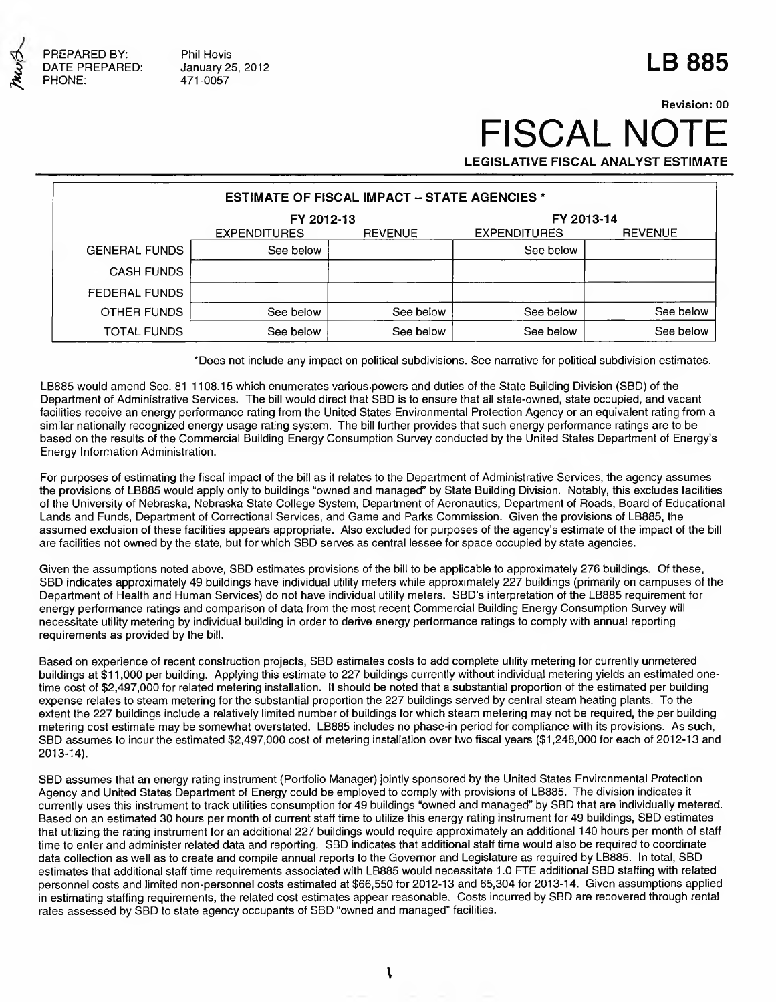

PREPARED BY: Phil Hovis<br>DATE PREPARED: January 25, 2012

# **LB 885**

# **Revision: 00 FISCAL NOT LEGISLATIVE FISCAL ANALYST ESTIMATE**

| <b>ESTIMATE OF FISCAL IMPACT - STATE AGENCIES *</b> |                     |                |                     |                |
|-----------------------------------------------------|---------------------|----------------|---------------------|----------------|
|                                                     | FY 2012-13          |                | FY 2013-14          |                |
|                                                     | <b>EXPENDITURES</b> | <b>REVENUE</b> | <b>EXPENDITURES</b> | <b>REVENUE</b> |
| <b>GENERAL FUNDS</b>                                | See below           |                | See below           |                |
| <b>CASH FUNDS</b>                                   |                     |                |                     |                |
| <b>FEDERAL FUNDS</b>                                |                     |                |                     |                |
| OTHER FUNDS                                         | See below           | See below      | See below           | See below      |
| <b>TOTAL FUNDS</b>                                  | See below           | See below      | See below           | See below      |

\*Does not include any impact on political subdivisions. See narrative for political subdivision estimates.

LB885 would amend Sec. 81-1108.15 which enumerates various-powers and duties of the State Building Division (SBD) of the Department of Administrative Services. The bill would direct that SBD is to ensure that all state-owned, state occupied, and vacant facilities receive an energy performance rating from the United States Environmental Protection Agency or an equivalent rating from a similar nationally recognized energy usage rating system. The bill further provides that such energy performance ratings are to be based on the results of the Commercial Building Energy Consumption Survey conducted by the United States Department of Energy's Energy Information Administration.

For purposes of estimating the fiscal impact of the bill as it relates to the Department of Administrative Services, the agency assumes the provisions of LB885 would apply only to buildings "owned and managed" by State Building Division. Notably, this excludes facilities of the University of Nebraska, Nebraska State College System, Department of Aeronautics, Department of Roads, Board of Educational Lands and Funds, Department of Correctional Services, and Game and Parks Commission. Given the provisions of LB885, the assumed exclusion of these facilities appears appropriate. Also excluded for purposes of the agency's estimate of the impact of the bill are facilities not owned by the state, but for which SBD serves as central lessee for space occupied by state agencies.

Given the assumptions noted above, SBD estimates provisions of the bill to be applicable to approximately 276 buildings. Of these. SBD indicates approximately 49 buildings have individual utility meters while approximately 227 buildings (primarily on campuses of the Department of Health and Human Services) do not have individual utility meters. SBD's interpretation of the LB885 requirement for energy performance ratings and comparison of data from the most recent Commercial Building Energy Consumption Survey will necessitate utility metering by individual building in order to derive energy performance ratings to comply with annual reporting requirements as provided by the bill.

Based on experience of recent construction projects, SBD estimates costs to add complete utility metering for currently unmetered buildings at \$11,000 per building. Applying this estimate to 227 buildings currently without individual metering yields an estimated onetime cost of \$2,497,000 for related metering installation. It should be noted that a substantial proportion of the estimated per building expense relates to steam metering for the substantial proportion the 227 buildings served by central steam heating plants. To the extent the 227 buildings include a relatively limited number of buildings for which steam metering may not be required, the per building metering cost estimate may be somewhat overstated. LB885 includes no phase-in period for compliance with its provisions. As such, SBD assumes to incur the estimated \$2,497,000 cost of metering installation over two fiscal years (\$1,248,000 for each of 2012-13 and 2013-14).

SBD assumes that an energy rating instrument (Portfolio Manager) jointly sponsored by the United States Environmental Protection Agency and United States Department of Energy could be employed to comply with provisions of LB885. The division indicates it currently uses this instrument to track utilities consumption for 49 buildings "owned and managed" by SBD that are individually metered. Based on an estimated 30 hours per month of current staff time to utilize this energy rating instrument for 49 buildings, SBD estimates that utilizing the rating instrument for an additional 227 buildings would require approximately an additional 140 hours per month of staff time to enter and administer related data and reporting. SBD indicates that additional staff time would also be required to coordinate data collection as well as to create and compile annual reports to the Governor and Legislature as required by LB885. In total, SBD estimates that additional staff time requirements associated with LB885 would necessitate 1.0 FTE additional SBD staffing with related personnel costs and limited non-personnel costs estimated at \$66,550 for 2012-13 and 65,304 for 2013-14. Given assumptions applied in estimating staffing requirements, the related cost estimates appear reasonable. Costs incurred by SBD are recovered through rental rates assessed by SBD to state agency occupants of SBD "owned and managed" facilities.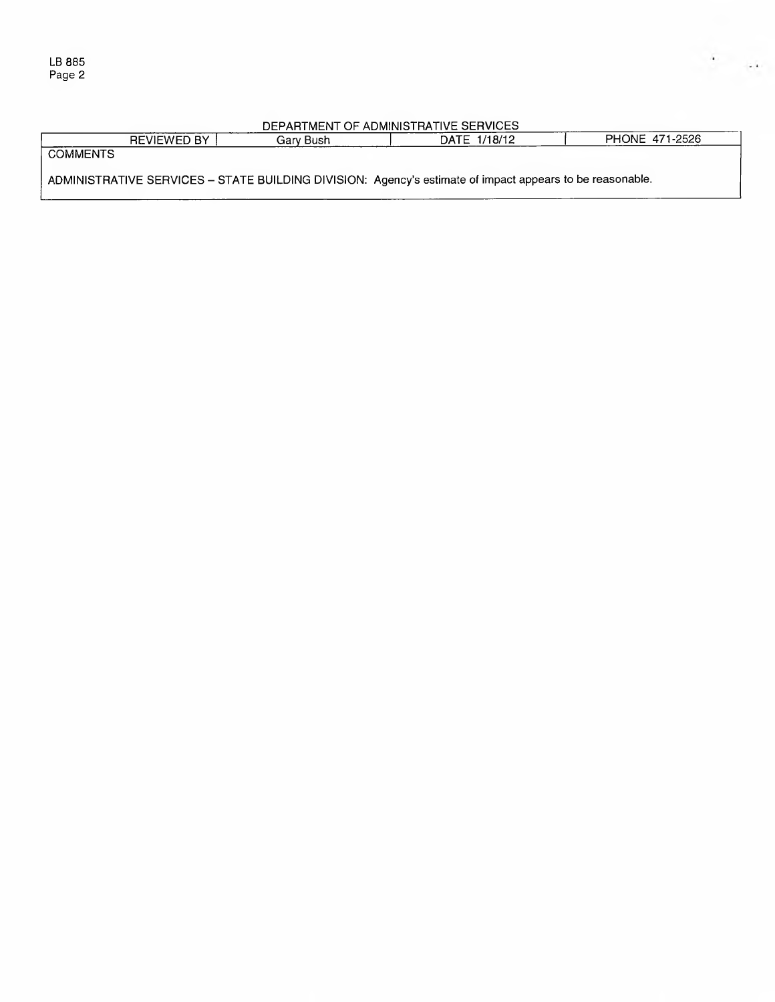#### DEPARTMENT OF ADMINISTRATIVE SERVICES

 $\sim$   $\sim$ 

| <b>REVIEWED BY</b>                                                                                       | Garv Bush | DATE 1/18/12 | PHONE 471-2526 |
|----------------------------------------------------------------------------------------------------------|-----------|--------------|----------------|
| <b>COMMENTS</b>                                                                                          |           |              |                |
|                                                                                                          |           |              |                |
| ADMINISTRATIVE SERVICES – STATE BUILDING DIVISION: Agency's estimate of impact appears to be reasonable. |           |              |                |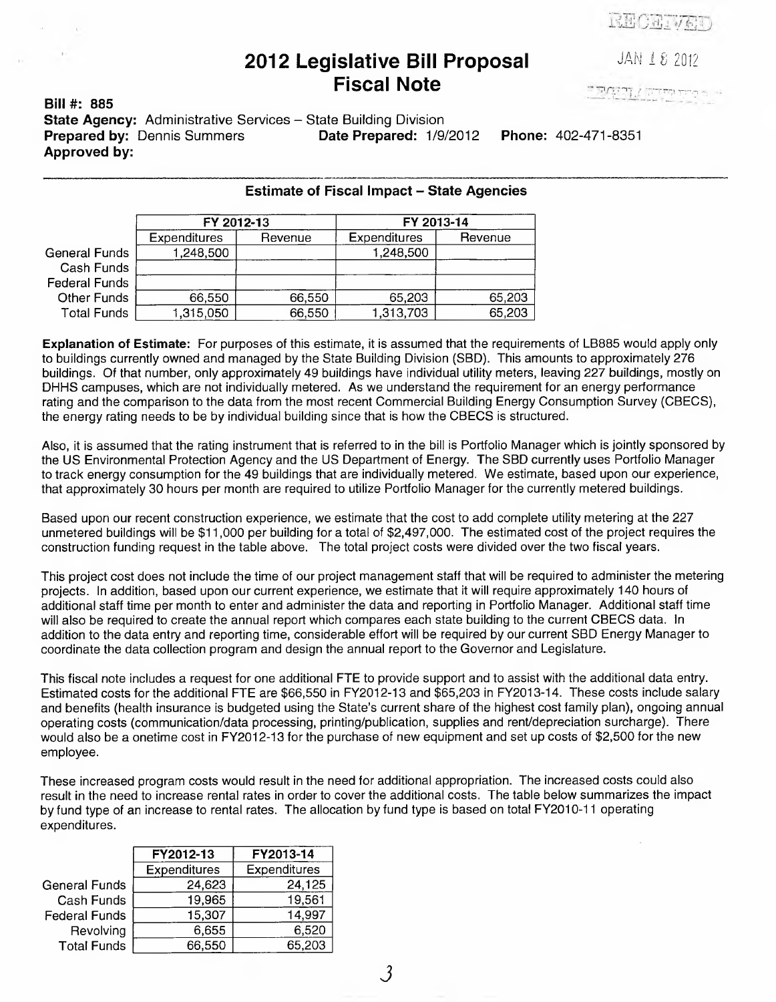民国门司工业局

**2012 Legislative Bill Proposal JAN 18 2012** 

**Bill#: 885 State Agency:** Administrative Services – State Building Division<br>**Prepared by:** Dennis Summers **Date Prepared:** 1/9/2012 **Prepared by:** Dennis Summers **Date Prepared:** 1/9/2012 **Phone:** 402-471-8351 **Approved by:**

General Funds 1,248,500 1,248,500

Total Funds 1,315,050 66,550

Cash Funds Federal Funds

**Explanation of Estimate:** For purposes of this estimate, it is assumed that the requirements of LB885 would apply only to buildings currently owned and managed by the State Building Division (SBD). This amounts to approximately 276<br>buildings. Of that number, only approximately 49 buildings have individual utility meters, leaving 227 buildi buildings. Of that number, only approximately 49 buildings have individual utility meters, leaving 227 buildings, mostly on<br>DHHS campuses, which are not individually metered. As we understand the requirement for an energy he requirement for an energy performance rating and the comparison to the data from the most recent Commercial Building Energy Consumption Survey (CBECS),<br>the energy rating needs to be by individual building since that is how the CBECS is structured. the energy rating

Also, it is assumed that the rating instrument that is referred to in the bill is Portfolio Manager which is jointly sponsored by the US Environmental Protection Agency and the US Department of Energy. The SBD currently uses Portfolio Manager to track energy consumption for the 49 buildings that are individually metered. We estimate, based upon our experience, that approximately 30 hours per month are required to utilize Portfolio Manager for the currently metered buildings.

Based upon our recent construction experience, we estimate that the cost to add complete utility metering at the 227 unmetered buildings will be \$11,000 per building for a total of \$2,497,000. The estimated cost of the project requires the construction funding request in the table above. The total project costs were divided over the two fiscal years.

This project cost does not include the time of our project management staff that will be required to administer the metering projects. In addition, based upon our current experience, we estimate that it will require approximately 140 hours of additional staff time per month to enter and administer the data and reporting in Portfolio Manager. Additional staff time will also be required to create the annual report which compares each state building to the current CBECS data. In addition to the data entry and reporting time, considerable effort will be required by our current SBD Energy Manager to coordinate the data collection program and design the annual report to the Governor and Legislature.

This fiscal note includes a request for one additional FTE to provide support and to assist with the additional data entry. Estimated costs for the additional FTE are \$66,550 in FY2012-13 and \$65,203 in FY2013-14. These costs include salary and benefits (health insurance is budgeted using the State's current share of the highest cost family plan), ongoing annual operating costs (communication/data processing, printing/publication, supplies and rent/depreciation surcharge). There would also be a onetime cost in FY2012-13 for the purchase of new equipment and set up costs of \$2,500 for the new employee.

These increased program costs would result in the need for additional appropriation. The increased costs could also result in the need to increase rental rates in order to cover the additional costs. The table below summarizes the impact by fund type of an increase to rental rates. The allocation by fund type is based on total FY2010-11 operating expenditures.

**J**

|                      | FY2012-13    | FY2013-14    |
|----------------------|--------------|--------------|
|                      | Expenditures | Expenditures |
| <b>General Funds</b> | 24,623       | 24,125       |
| <b>Cash Funds</b>    | 19,965       | 19,561       |
| <b>Federal Funds</b> | 15,307       | 14,997       |
| Revolving            | 6,655        | 6,520        |
| <b>Total Funds</b>   | 66,550       | 65,203       |

### **Estimate of Fiscal Impact - State Agencies**

**FY 2012-13 FY 2013-14** Expenditures Revenue Rexpenditures Revenue

**Fiscal Note** 

|  | number, only approximately 49 buildings have individual<br>which are not individually metered. As we understand t<br>nparison to the data from the most recent Commercial Br |
|--|------------------------------------------------------------------------------------------------------------------------------------------------------------------------------|
|  | needs to be by individual building since that is how the C<br>d that the rating instrument that is referred to in the bill is                                                |
|  | ental Protection Agency and the US Department of Energ<br>nsumption for the 49 buildings that are individually meter                                                         |

Other Funds 66,550 66,550 66,550 65,203 65,203<br>Total Funds 1,315,050 66,550 1,313,703 65,203